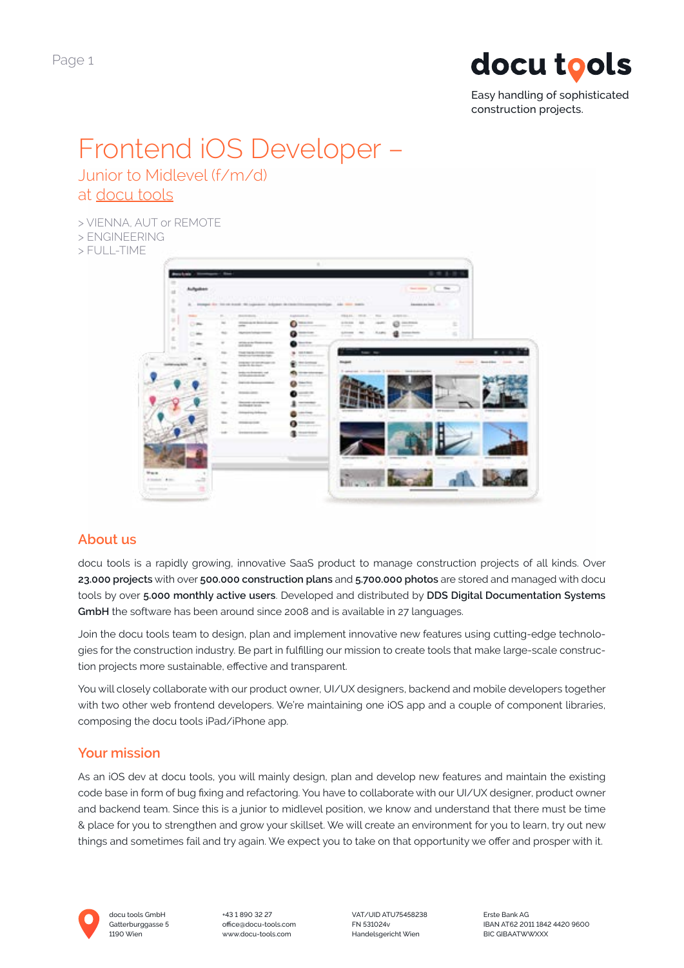

Easy handling of sophisticated construction projects.

# Frontend iOS Developer – Junior to Midlevel (f/m/d)

## at [docu tools](https://bit.ly/website-en)

> VIENNA, AUT or REMOTE

- > ENGINEERING
- $>$  FULL-TIME

| Automotive              |               | <b>CONTRACTORS IN THE PROPERTY OF A 49 YO F</b>                                                                                                         | wa m                                    | $-$ 100 $-$<br><b>Secretary 1</b><br>うつぶません                                                                                      |
|-------------------------|---------------|---------------------------------------------------------------------------------------------------------------------------------------------------------|-----------------------------------------|----------------------------------------------------------------------------------------------------------------------------------|
| ٠                       |               | A  blooded for the state and the copyright in contribution compressibles. Also seen seats                                                               |                                         | <b>Experience due look</b> (2011) 177                                                                                            |
| <b>THEFT</b><br>٠<br>OW | $\equiv$      | By A P. P. Bankerson, C. L. L. Lincoln<br><b>Controller Controller</b><br>Window in Installations                                                       | Automobile.<br>THE AVE CALL<br>o        | FRANK 1970 - 17, 702 11<br>ALCOHOL: Y<br>the set previously be<br><b>CALLER I</b><br>4 10 8 8 10 11 12<br><b>CALL POINT</b><br>e |
| $-$                     | $\rightarrow$ | $\frac{1}{2} \left( \frac{1}{2} \right) \left( \frac{1}{2} \right) \left( \frac{1}{2} \right)$<br><b>Service State</b><br><b>Harrison Component Co.</b> | o                                       | drawn in Line<br><b>STATISTICS</b><br>GROSS AND LARGE<br><b>Instruments</b><br>s                                                 |
|                         | ٠             | stone and them were.                                                                                                                                    | <b>Secretary</b>                        | ---                                                                                                                              |
| $\mathcal{L}$           | ma-           | paranel<br>THAT THE SHORTER SATISFIES.                                                                                                                  | <b>CONTRACTOR</b><br><b>SEA FIRST</b>   | To bear the                                                                                                                      |
|                         | $\equiv$      | lands at the lands and                                                                                                                                  | <b>STATISTICS</b><br><b>STATISTICS</b>  | Continued C. Associates Consti-                                                                                                  |
|                         |               | <b>CONTRACTOR</b>                                                                                                                                       |                                         | 3-peaced to: constant 3-literate ; last entertainties                                                                            |
|                         |               | <b>CONTRACTOR</b><br>the control of the control of                                                                                                      | 222112<br><b>Sales Ford</b>             |                                                                                                                                  |
|                         |               |                                                                                                                                                         | <b>STATISTICS</b>                       |                                                                                                                                  |
|                         | $\rightarrow$ | <b>STATE OFFICE</b>                                                                                                                                     | and to                                  |                                                                                                                                  |
|                         |               | <b><i>PRODUCED</i></b><br><b>GUISHAE WAY</b>                                                                                                            |                                         | <b>WE RESIDENTED</b><br><b>CONTRACTOR</b>                                                                                        |
|                         |               |                                                                                                                                                         | and then<br>ومتروبة                     |                                                                                                                                  |
|                         |               | <b><i>STARLING</i></b>                                                                                                                                  | <b>CONTRACTOR</b><br>Colorado de Colora |                                                                                                                                  |
|                         |               | <b>DISTURBANCE</b>                                                                                                                                      | <b>CONTRACTOR</b>                       |                                                                                                                                  |
|                         |               |                                                                                                                                                         |                                         |                                                                                                                                  |
|                         |               |                                                                                                                                                         |                                         |                                                                                                                                  |
|                         |               |                                                                                                                                                         |                                         |                                                                                                                                  |

## **About us**

docu tools is a rapidly growing, innovative SaaS product to manage construction projects of all kinds. Over **23.000 projects** with over **500.000 construction plans** and **5.700.000 photos** are stored and managed with docu tools by over **5.000 monthly active users**. Developed and distributed by **DDS Digital Documentation Systems GmbH** the software has been around since 2008 and is available in 27 languages.

Join the docu tools team to design, plan and implement innovative new features using cutting-edge technologies for the construction industry. Be part in fulfilling our mission to create tools that make large-scale construction projects more sustainable, effective and transparent.

You will closely collaborate with our product owner, UI/UX designers, backend and mobile developers together with two other web frontend developers. We're maintaining one iOS app and a couple of component libraries, composing the docu tools iPad/iPhone app.

## **Your mission**

As an iOS dev at docu tools, you will mainly design, plan and develop new features and maintain the existing code base in form of bug fixing and refactoring. You have to collaborate with our UI/UX designer, product owner and backend team. Since this is a junior to midlevel position, we know and understand that there must be time & place for you to strengthen and grow your skillset. We will create an environment for you to learn, try out new things and sometimes fail and try again. We expect you to take on that opportunity we offer and prosper with it.



docu tools GmbH +43 1 890 32 27 VAT/UID ATU75458238 Erste Bank AG 1190 Wien www.docu-tools.com Handelsgericht Wien BIC GIBAATWWXXX

Gatterburggasse 5 office@docu-tools.com FN 531024y FN 531024v BAN AT62 2011 1842 4420 9600